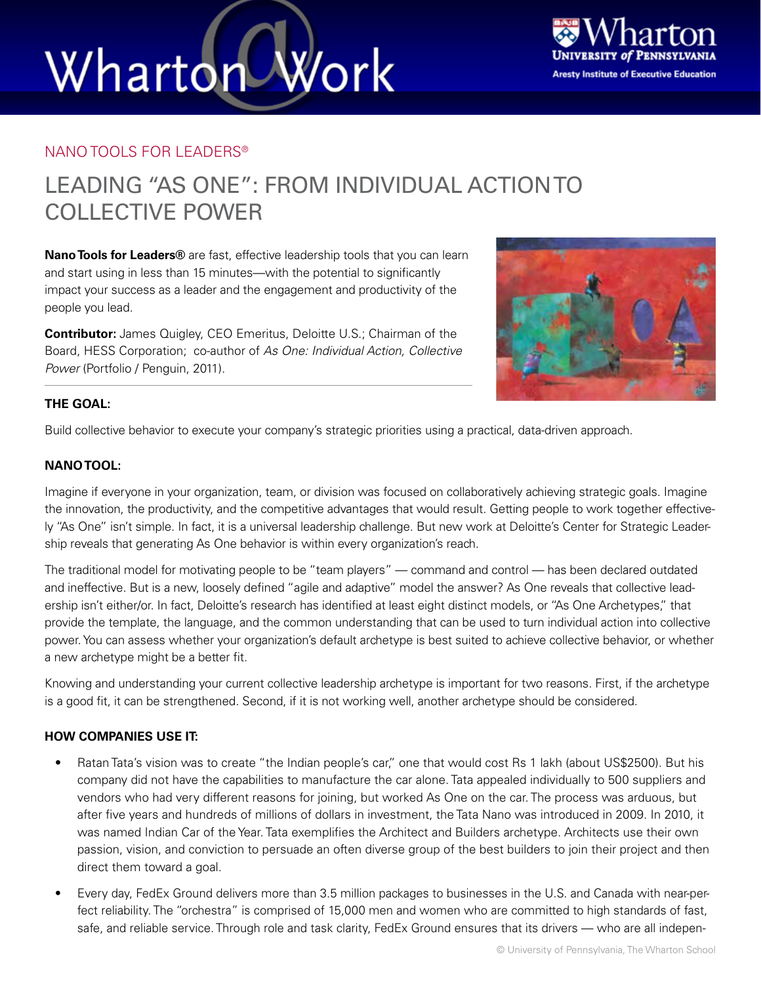# Wharton Work



### NANO TOOLS FOR LEADERS®

### LEADING "AS ONE": FROM INDIVIDUAL ACTION TO COLLECTIVE POWER

**Nano Tools for Leaders®** are fast, effective leadership tools that you can learn and start using in less than 15 minutes—with the potential to significantly impact your success as a leader and the engagement and productivity of the people you lead.

**Contributor:** James Quigley, CEO Emeritus, Deloitte U.S.; Chairman of the Board, HESS Corporation; co-author of *As One: Individual Action, Collective Power* (Portfolio / Penguin, 2011).



### **THE GOAL:**

Build collective behavior to execute your company's strategic priorities using a practical, data-driven approach.

### **NANO TOOL:**

Imagine if everyone in your organization, team, or division was focused on collaboratively achieving strategic goals. Imagine the innovation, the productivity, and the competitive advantages that would result. Getting people to work together effectively "As One" isn't simple. In fact, it is a universal leadership challenge. But new work at Deloitte's Center for Strategic Leadership reveals that generating As One behavior is within every organization's reach.

The traditional model for motivating people to be "team players" — command and control — has been declared outdated and ineffective. But is a new, loosely defined "agile and adaptive" model the answer? As One reveals that collective leadership isn't either/or. In fact, Deloitte's research has identified at least eight distinct models, or "As One Archetypes," that provide the template, the language, and the common understanding that can be used to turn individual action into collective power. You can assess whether your organization's default archetype is best suited to achieve collective behavior, or whether a new archetype might be a better fit.

Knowing and understanding your current collective leadership archetype is important for two reasons. First, if the archetype is a good fit, it can be strengthened. Second, if it is not working well, another archetype should be considered.

### **HOW COMPANIES USE IT:**

- Ratan Tata's vision was to create "the Indian people's car," one that would cost Rs 1 lakh (about US\$2500). But his company did not have the capabilities to manufacture the car alone. Tata appealed individually to 500 suppliers and vendors who had very different reasons for joining, but worked As One on the car. The process was arduous, but after five years and hundreds of millions of dollars in investment, the Tata Nano was introduced in 2009. In 2010, it was named Indian Car of the Year. Tata exemplifies the Architect and Builders archetype. Architects use their own passion, vision, and conviction to persuade an often diverse group of the best builders to join their project and then direct them toward a goal.
- Every day, FedEx Ground delivers more than 3.5 million packages to businesses in the U.S. and Canada with near-perfect reliability. The "orchestra" is comprised of 15,000 men and women who are committed to high standards of fast, safe, and reliable service. Through role and task clarity, FedEx Ground ensures that its drivers — who are all indepen-